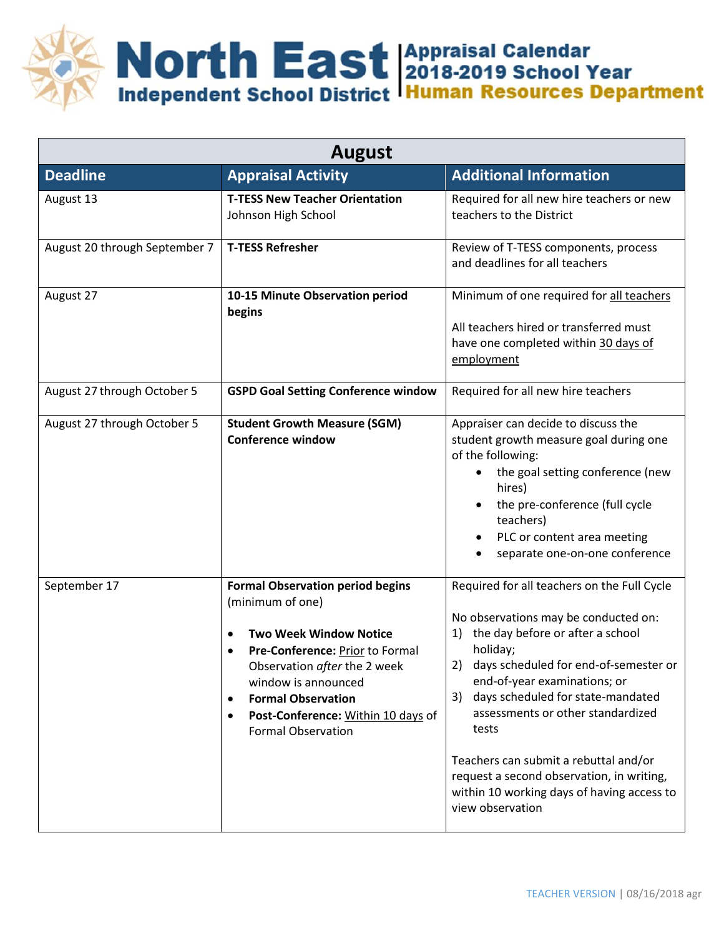

| <b>August</b>                 |                                                                                                                                                                                                                                                                                                          |                                                                                                                                                                                                                                                                                                                                                                                                                                                                           |  |  |
|-------------------------------|----------------------------------------------------------------------------------------------------------------------------------------------------------------------------------------------------------------------------------------------------------------------------------------------------------|---------------------------------------------------------------------------------------------------------------------------------------------------------------------------------------------------------------------------------------------------------------------------------------------------------------------------------------------------------------------------------------------------------------------------------------------------------------------------|--|--|
| <b>Deadline</b>               | <b>Appraisal Activity</b>                                                                                                                                                                                                                                                                                | <b>Additional Information</b>                                                                                                                                                                                                                                                                                                                                                                                                                                             |  |  |
| August 13                     | <b>T-TESS New Teacher Orientation</b><br>Johnson High School                                                                                                                                                                                                                                             | Required for all new hire teachers or new<br>teachers to the District                                                                                                                                                                                                                                                                                                                                                                                                     |  |  |
| August 20 through September 7 | <b>T-TESS Refresher</b>                                                                                                                                                                                                                                                                                  | Review of T-TESS components, process<br>and deadlines for all teachers                                                                                                                                                                                                                                                                                                                                                                                                    |  |  |
| August 27                     | 10-15 Minute Observation period<br>begins                                                                                                                                                                                                                                                                | Minimum of one required for all teachers<br>All teachers hired or transferred must<br>have one completed within 30 days of<br>employment                                                                                                                                                                                                                                                                                                                                  |  |  |
| August 27 through October 5   | <b>GSPD Goal Setting Conference window</b>                                                                                                                                                                                                                                                               | Required for all new hire teachers                                                                                                                                                                                                                                                                                                                                                                                                                                        |  |  |
| August 27 through October 5   | <b>Student Growth Measure (SGM)</b><br><b>Conference window</b>                                                                                                                                                                                                                                          | Appraiser can decide to discuss the<br>student growth measure goal during one<br>of the following:<br>the goal setting conference (new<br>hires)<br>the pre-conference (full cycle<br>teachers)<br>PLC or content area meeting<br>separate one-on-one conference                                                                                                                                                                                                          |  |  |
| September 17                  | <b>Formal Observation period begins</b><br>(minimum of one)<br><b>Two Week Window Notice</b><br>Pre-Conference: Prior to Formal<br>Observation after the 2 week<br>window is announced<br><b>Formal Observation</b><br>$\bullet$<br>Post-Conference: Within 10 days of<br>٠<br><b>Formal Observation</b> | Required for all teachers on the Full Cycle<br>No observations may be conducted on:<br>the day before or after a school<br>1)<br>holiday;<br>days scheduled for end-of-semester or<br>2)<br>end-of-year examinations; or<br>days scheduled for state-mandated<br>3)<br>assessments or other standardized<br>tests<br>Teachers can submit a rebuttal and/or<br>request a second observation, in writing,<br>within 10 working days of having access to<br>view observation |  |  |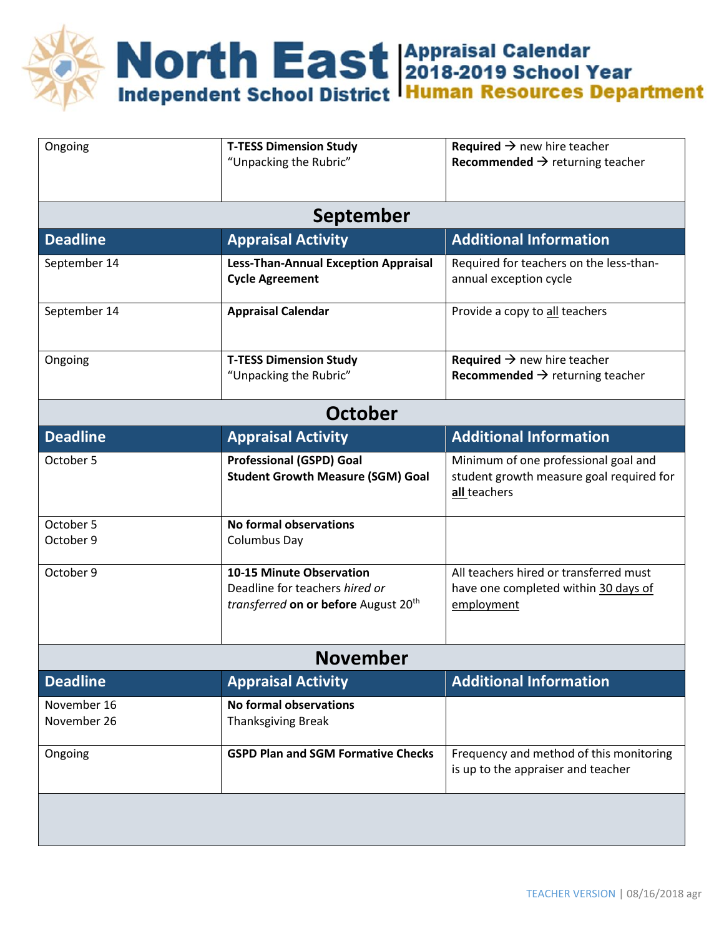Morth East Appraisal Calendar<br>Independent School District Human Resources Department

| Ongoing                    | <b>T-TESS Dimension Study</b><br>"Unpacking the Rubric"                                                               | <b>Required <math>\rightarrow</math> new hire teacher</b><br>Recommended $\rightarrow$ returning teacher |  |  |
|----------------------------|-----------------------------------------------------------------------------------------------------------------------|----------------------------------------------------------------------------------------------------------|--|--|
| September                  |                                                                                                                       |                                                                                                          |  |  |
| <b>Deadline</b>            | <b>Appraisal Activity</b>                                                                                             | <b>Additional Information</b>                                                                            |  |  |
| September 14               | <b>Less-Than-Annual Exception Appraisal</b><br><b>Cycle Agreement</b>                                                 | Required for teachers on the less-than-<br>annual exception cycle                                        |  |  |
| September 14               | <b>Appraisal Calendar</b>                                                                                             | Provide a copy to all teachers                                                                           |  |  |
| Ongoing                    | <b>T-TESS Dimension Study</b><br>"Unpacking the Rubric"                                                               | <b>Required <math>\rightarrow</math> new hire teacher</b><br>Recommended $\rightarrow$ returning teacher |  |  |
| <b>October</b>             |                                                                                                                       |                                                                                                          |  |  |
| <b>Deadline</b>            | <b>Appraisal Activity</b>                                                                                             | <b>Additional Information</b>                                                                            |  |  |
| October 5                  | <b>Professional (GSPD) Goal</b><br><b>Student Growth Measure (SGM) Goal</b>                                           | Minimum of one professional goal and<br>student growth measure goal required for<br>all teachers         |  |  |
| October 5<br>October 9     | <b>No formal observations</b><br>Columbus Day                                                                         |                                                                                                          |  |  |
| October 9                  | <b>10-15 Minute Observation</b><br>Deadline for teachers hired or<br>transferred on or before August 20 <sup>th</sup> | All teachers hired or transferred must<br>have one completed within 30 days of<br>employment             |  |  |
| <b>November</b>            |                                                                                                                       |                                                                                                          |  |  |
| <b>Deadline</b>            | <b>Appraisal Activity</b>                                                                                             | <b>Additional Information</b>                                                                            |  |  |
| November 16<br>November 26 | No formal observations<br><b>Thanksgiving Break</b>                                                                   |                                                                                                          |  |  |
| Ongoing                    | <b>GSPD Plan and SGM Formative Checks</b>                                                                             | Frequency and method of this monitoring<br>is up to the appraiser and teacher                            |  |  |
|                            |                                                                                                                       |                                                                                                          |  |  |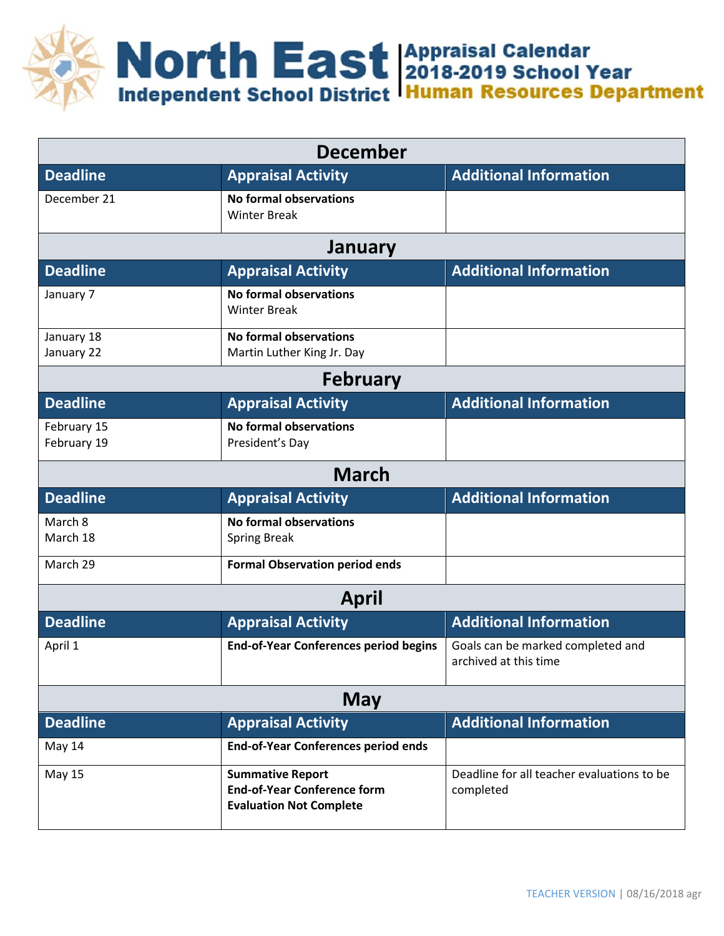

| <b>December</b>            |                                                                                                 |                                                            |  |  |  |
|----------------------------|-------------------------------------------------------------------------------------------------|------------------------------------------------------------|--|--|--|
| <b>Deadline</b>            | <b>Appraisal Activity</b>                                                                       | <b>Additional Information</b>                              |  |  |  |
| December 21                | <b>No formal observations</b><br><b>Winter Break</b>                                            |                                                            |  |  |  |
| January                    |                                                                                                 |                                                            |  |  |  |
| <b>Deadline</b>            | <b>Appraisal Activity</b>                                                                       | <b>Additional Information</b>                              |  |  |  |
| January 7                  | <b>No formal observations</b><br><b>Winter Break</b>                                            |                                                            |  |  |  |
| January 18<br>January 22   | <b>No formal observations</b><br>Martin Luther King Jr. Day                                     |                                                            |  |  |  |
| <b>February</b>            |                                                                                                 |                                                            |  |  |  |
| <b>Deadline</b>            | <b>Appraisal Activity</b>                                                                       | <b>Additional Information</b>                              |  |  |  |
| February 15<br>February 19 | <b>No formal observations</b><br>President's Day                                                |                                                            |  |  |  |
|                            | <b>March</b>                                                                                    |                                                            |  |  |  |
| <b>Deadline</b>            | <b>Appraisal Activity</b>                                                                       | <b>Additional Information</b>                              |  |  |  |
| March 8<br>March 18        | <b>No formal observations</b><br><b>Spring Break</b>                                            |                                                            |  |  |  |
| March 29                   | <b>Formal Observation period ends</b>                                                           |                                                            |  |  |  |
| <b>April</b>               |                                                                                                 |                                                            |  |  |  |
| <b>Deadline</b>            | <b>Appraisal Activity</b>                                                                       | <b>Additional Information</b>                              |  |  |  |
| April 1                    | <b>End-of-Year Conferences period begins</b>                                                    | Goals can be marked completed and<br>archived at this time |  |  |  |
| May                        |                                                                                                 |                                                            |  |  |  |
| <b>Deadline</b>            | <b>Appraisal Activity</b>                                                                       | <b>Additional Information</b>                              |  |  |  |
| May 14                     | <b>End-of-Year Conferences period ends</b>                                                      |                                                            |  |  |  |
| <b>May 15</b>              | <b>Summative Report</b><br><b>End-of-Year Conference form</b><br><b>Evaluation Not Complete</b> | Deadline for all teacher evaluations to be<br>completed    |  |  |  |